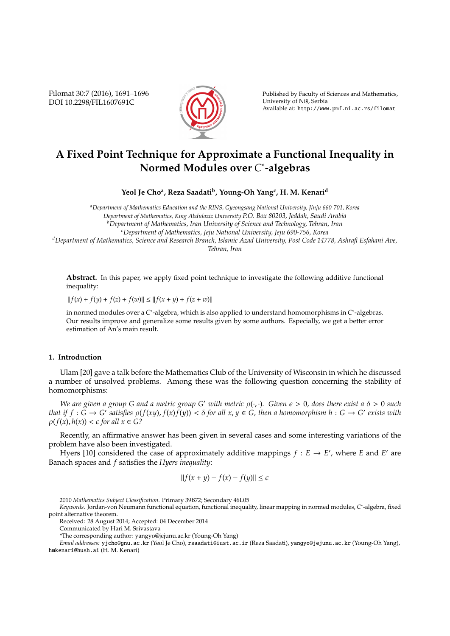Filomat 30:7 (2016), 1691–1696 DOI 10.2298/FIL1607691C



Published by Faculty of Sciences and Mathematics, University of Niš, Serbia Available at: http://www.pmf.ni.ac.rs/filomat

# **A Fixed Point Technique for Approximate a Functional Inequality in Normed Modules over** *C* ∗ **-algebras**

**Yeol Je Cho<sup>a</sup> , Reza Saadati<sup>b</sup> , Young-Oh Yang<sup>c</sup> , H. M. Kenari<sup>d</sup>**

*<sup>a</sup>Department of Mathematics Education and the RINS, Gyeongsang National University, Jinju 660-701, Korea Department of Mathematics, King Abdulaziz University P.O. Box 80203, Jeddah, Saudi Arabia <sup>b</sup>Department of Mathematics, Iran University of Science and Technology, Tehran, Iran <sup>c</sup>Department of Mathematics, Jeju National University, Jeju 690-756, Korea*

*<sup>d</sup>Department of Mathematics, Science and Research Branch, Islamic Azad University, Post Code 14778, Ashrafi Esfahani Ave, Tehran, Iran*

**Abstract.** In this paper, we apply fixed point technique to investigate the following additive functional inequality:

 $||f(x) + f(y) + f(z) + f(w)|| \le ||f(x + y) + f(z + w)||$ 

in normed modules over a *C*<sup>∗</sup>-algebra, which is also applied to understand homomorphisms in *C*<sup>∗</sup>-algebras. Our results improve and generalize some results given by some authors. Especially, we get a better error estimation of An's main result.

## **1. Introduction**

Ulam [20] gave a talk before the Mathematics Club of the University of Wisconsin in which he discussed a number of unsolved problems. Among these was the following question concerning the stability of homomorphisms:

*We are given a group G and a metric group G' with metric*  $\rho(\cdot,\cdot)$ *. Given*  $\epsilon > 0$ *, does there exist a*  $\delta > 0$  *such* that if  $f:\widetilde{G}\to G'$  satisfies  $\rho(f(xy),f(x)\widetilde{f}(y))<\delta$  for all  $x,y\in G,$  then a homomorphism  $h:G\to G'$  exists with  $\rho(f(x), h(x)) < \epsilon$  for all  $x \in G$ ?

Recently, an affirmative answer has been given in several cases and some interesting variations of the problem have also been investigated.

Hyers [10] considered the case of approximately additive mappings  $f : E \to E'$ , where *E* and *E'* are Banach spaces and *f* satisfies the *Hyers inequality*:

$$
||f(x + y) - f(x) - f(y)|| \le \epsilon
$$

Received: 28 August 2014; Accepted: 04 December 2014

<sup>2010</sup> *Mathematics Subject Classification*. Primary 39B72; Secondary 46L05

*Keywords*. Jordan-von Neumann functional equation, functional inequality, linear mapping in normed modules, *C* ∗ -algebra, fixed point alternative theorem.

Communicated by Hari M. Srivastava

<sup>\*</sup>The corresponding author: yangyo@jejunu.ac.kr (Young-Oh Yang)

*Email addresses:* yjcho@gnu.ac.kr (Yeol Je Cho), rsaadati@iust.ac.ir (Reza Saadati), yangyo@jejunu.ac.kr (Young-Oh Yang), hmkenari@hush.ai (H. M. Kenari)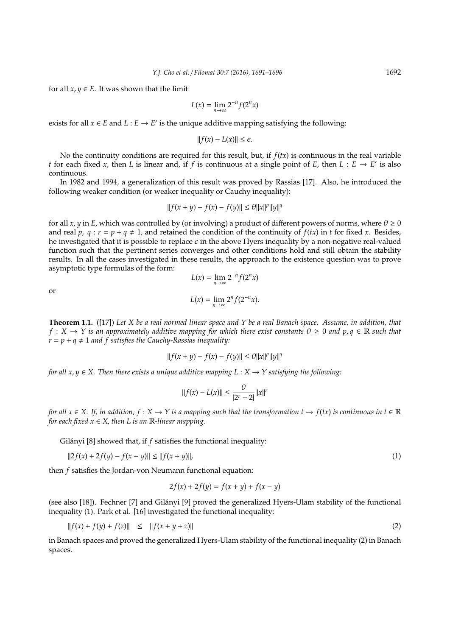for all  $x, y \in E$ . It was shown that the limit

$$
L(x) = \lim_{n \to \infty} 2^{-n} f(2^n x)
$$

exists for all  $x \in E$  and  $L : E \to E'$  is the unique additive mapping satisfying the following:

$$
||f(x) - L(x)|| \le \epsilon.
$$

No the continuity conditions are required for this result, but, if  $f(tx)$  is continuous in the real variable *t* for each fixed *x*, then *L* is linear and, if *f* is continuous at a single point of *E*, then *L* :  $E \rightarrow E'$  is also continuous.

In 1982 and 1994, a generalization of this result was proved by Rassias [17]. Also, he introduced the following weaker condition (or weaker inequality or Cauchy inequality):

$$
||f(x + y) - f(x) - f(y)|| \le \theta ||x||^p ||y||^q
$$

for all *x*, *y* in *E*, which was controlled by (or involving) a product of different powers of norms, where  $\theta \ge 0$ and real *p*,  $q : r = p + q \neq 1$ , and retained the condition of the continuity of  $f(tx)$  in *t* for fixed *x*. Besides, he investigated that it is possible to replace  $\epsilon$  in the above Hyers inequality by a non-negative real-valued function such that the pertinent series converges and other conditions hold and still obtain the stability results. In all the cases investigated in these results, the approach to the existence question was to prove asymptotic type formulas of the form:  $L(x) = \lim_{n \to \infty} 2^{-n} f(2^n x)$ 

or

$$
L(x) = \lim_{n \to \infty} 2^n f(2^{-n}x).
$$

**Theorem 1.1.** ([17]) *Let X be a real normed linear space and Y be a real Banach space. Assume, in addition, that*  $f: X \to Y$  *is an approximately additive mapping for which there exist constants*  $\theta \ge 0$  *and p,q*  $\in \mathbb{R}$  *such that*  $r = p + q \neq 1$  *and f satisfies the Cauchy-Rassias inequality:* 

$$
||f(x + y) - f(x) - f(y)|| \le \theta ||x||^p ||y||^q
$$

*for all x*,  $y \in X$ . Then there exists a unique additive mapping  $L : X \to Y$  satisfying the following:

$$
||f(x) - L(x)|| \le \frac{\theta}{|2^r - 2|} ||x||^r
$$

*for all*  $x \in X$ . If, in addition,  $f : X \to Y$  is a mapping such that the transformation  $t \to f(tx)$  is continuous in  $t \in \mathbb{R}$ *for each fixed*  $x \in X$ , *then* L *is an* **R**-linear mapping.

Gilányi [8] showed that, if  $f$  satisfies the functional inequality:

$$
||2f(x) + 2f(y) - f(x - y)|| \le ||f(x + y)||,
$$
\n(1)

then *f* satisfies the Jordan-von Neumann functional equation:

$$
2f(x) + 2f(y) = f(x + y) + f(x - y)
$$

(see also [18]). Fechner [7] and Gilanyi [9] proved the generalized Hyers-Ulam stability of the functional ´ inequality (1). Park et al. [16] investigated the functional inequality:

$$
||f(x) + f(y) + f(z)|| \le ||f(x + y + z)|| \tag{2}
$$

in Banach spaces and proved the generalized Hyers-Ulam stability of the functional inequality (2) in Banach spaces.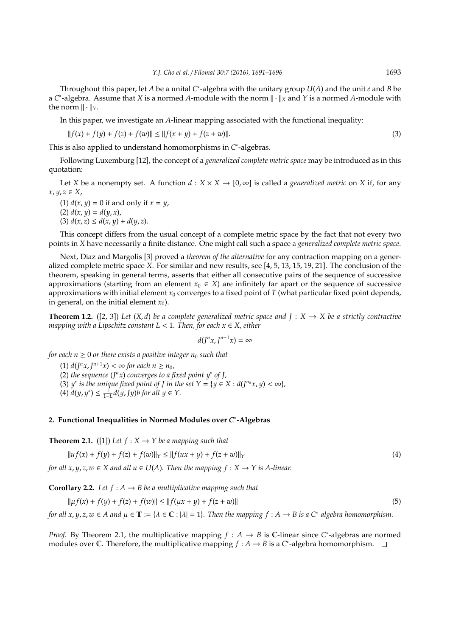Throughout this paper, let *A* be a unital *C*<sup>∗</sup>-algebra with the unitary group *U*(*A*) and the unit *e* and *B* be a *C*<sup>\*</sup>-algebra. Assume that *X* is a normed *A*-module with the norm  $\|\cdot\|_X$  and *Y* is a normed *A*-module with the norm  $\|\cdot\|_Y$ .

In this paper, we investigate an *A*-linear mapping associated with the functional inequality:

$$
||f(x) + f(y) + f(z) + f(w)|| \le ||f(x + y) + f(z + w)||. \tag{3}
$$

This is also applied to understand homomorphisms in *C*<sup>\*</sup>-algebras.

Following Luxemburg [12], the concept of a *generalized complete metric space* may be introduced as in this quotation:

Let *X* be a nonempty set. A function  $d : X \times X \to [0, \infty]$  is called a *generalized metric* on *X* if, for any  $x, y, z \in X$ 

(1)  $d(x, y) = 0$  if and only if  $x = y$ ,

 $d(x, y) = d(y, x)$ , (3)  $d(x, z) \leq d(x, y) + d(y, z)$ .

This concept differs from the usual concept of a complete metric space by the fact that not every two points in *X* have necessarily a finite distance. One might call such a space a *generalized complete metric space*.

Next, Diaz and Margolis [3] proved a *theorem of the alternative* for any contraction mapping on a generalized complete metric space *X*. For similar and new results, see [4, 5, 13, 15, 19, 21]. The conclusion of the theorem, speaking in general terms, asserts that either all consecutive pairs of the sequence of successive approximations (starting from an element  $x_0 \in X$ ) are infinitely far apart or the sequence of successive approximations with initial element  $x_0$  converges to a fixed point of *T* (what particular fixed point depends, in general, on the initial element  $x_0$ ).

**Theorem 1.2.** ([2, 3]) Let  $(X,d)$  be a complete generalized metric space and  $J : X \rightarrow X$  be a strictly contractive *mapping with a Lipschitz constant L* < 1*. Then, for each x* ∈ *X, either*

$$
d(J^nx,J^{n+1}x)=\infty
$$

*for each*  $n \geq 0$  *or there exists a positive integer*  $n_0$  *such that* 

 $(1) d(J<sup>n</sup>x, J<sup>n+1</sup>x) < \infty$  for each  $n \ge n_0$ , (2) *the sequence* (*J <sup>n</sup>x*) *converges to a fixed point y*<sup>∗</sup> *of J,* (3) *y*<sup>\*</sup> *is the unique fixed point of J in the set*  $Y = \{y \in X : d(J^{n_0}x, y) < \infty\}$ *,*  $(4)$   $d(y, y^*)$  ≤  $\frac{1}{1-L}d(y, Jy)$ *b* for all  $y \in Y$ .

# **2. Functional Inequalities in Normed Modules over** *C* ∗ **-Algebras**

**Theorem 2.1.** ([1]) Let  $f : X \rightarrow Y$  be a mapping such that

$$
||u f(x) + f(y) + f(z) + f(w)||_Y \le ||f(ux + y) + f(z + w)||_Y
$$
\n(4)

*for all x, y, z, w*  $\in$  *X and all u*  $\in$  *U(A). Then the mapping*  $f : X \rightarrow Y$  *is A-linear.* 

**Corollary 2.2.** Let  $f : A \rightarrow B$  be a multiplicative mapping such that

$$
\|\mu f(x) + f(y) + f(z) + f(w)\| \le \|f(\mu x + y) + f(z + w)\|
$$
\n(5)

*for all x, y, z, w*  $\in$  *A and*  $\mu \in \mathbb{T} := \{ \lambda \in \mathbb{C} : |\lambda| = 1 \}$ . Then the mapping  $f : A \to B$  is a C<sup>\*</sup>-algebra homomorphism.

*Proof.* By Theorem 2.1, the multiplicative mapping  $f : A \rightarrow B$  is C-linear since C<sup>\*</sup>-algebras are normed modules over C. Therefore, the multiplicative mapping  $f : A \rightarrow B$  is a C<sup>\*</sup>-algebra homomorphism.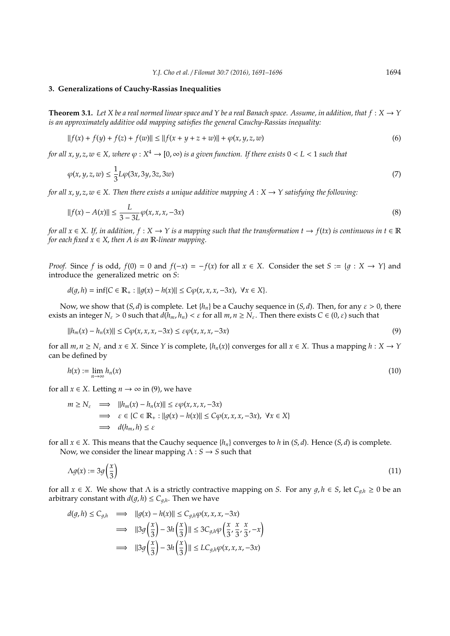#### **3. Generalizations of Cauchy-Rassias Inequalities**

**Theorem 3.1.** *Let X be a real normed linear space and Y be a real Banach space. Assume, in addition, that*  $f: X \to Y$ *is an approximately additive odd mapping satisfies the general Cauchy-Rassias inequality:*

$$
||f(x) + f(y) + f(z) + f(w)|| \le ||f(x + y + z + w)|| + \varphi(x, y, z, w)
$$
\n(6)

*for all x, y,* z,  $w \in X$ , where  $\varphi: X^4 \to [0,\infty)$  is a given function. If there exists  $0 < L < 1$  such that

$$
\varphi(x, y, z, w) \le \frac{1}{3} L \varphi(3x, 3y, 3z, 3w) \tag{7}
$$

*for all x*,  $y$ ,  $z$ ,  $w \in X$ . Then there exists a unique additive mapping  $A : X \to Y$  satisfying the following:

$$
||f(x) - A(x)|| \le \frac{L}{3 - 3L} \varphi(x, x, x, -3x)
$$
\n(8)

*for all*  $x \in X$ . If, in addition,  $f : X \to Y$  is a mapping such that the transformation  $t \to f(tx)$  is continuous in  $t \in \mathbb{R}$ *for each fixed*  $x \in X$ , *then A is an* **R**-linear mapping.

*Proof.* Since *f* is odd,  $f(0) = 0$  and  $f(-x) = -f(x)$  for all  $x \in X$ . Consider the set  $S := \{g : X \to Y\}$  and introduce the generalized metric on *S*:

$$
d(g,h) = \inf\{C \in \mathbb{R}_+ : ||g(x) - h(x)|| \le C\varphi(x,x,x,-3x), \ \forall x \in X\}.
$$

Now, we show that  $(S, d)$  is complete. Let  $\{h_n\}$  be a Cauchy sequence in  $(S, d)$ . Then, for any  $\varepsilon > 0$ , there exists an integer  $N_{\varepsilon} > 0$  such that  $d(h_m, h_n) < \varepsilon$  for all  $m, n \ge N_{\varepsilon}$ . Then there exists  $C \in (0, \varepsilon)$  such that

$$
||h_m(x) - h_n(x)|| \le C\varphi(x, x, x, -3x) \le \varepsilon \varphi(x, x, x, -3x)
$$
\n(9)

for all  $m, n \ge N_{\varepsilon}$  and  $x \in X$ . Since *Y* is complete,  $\{h_n(x)\}$  converges for all  $x \in X$ . Thus a mapping  $h: X \to Y$ can be defined by

$$
h(x) := \lim_{n \to \infty} h_n(x) \tag{10}
$$

for all  $x \in X$ . Letting  $n \to \infty$  in (9), we have

$$
m \ge N_{\varepsilon} \implies ||h_m(x) - h_n(x)|| \le \varepsilon \varphi(x, x, x, -3x)
$$
  
\n
$$
\implies \varepsilon \in \{C \in \mathbb{R}_+ : ||g(x) - h(x)|| \le C\varphi(x, x, x, -3x), \ \forall x \in X\}
$$
  
\n
$$
\implies d(h_m, h) \le \varepsilon
$$

for all  $x \in X$ . This means that the Cauchy sequence  $\{h_n\}$  converges to *h* in  $(S, d)$ . Hence  $(S, d)$  is complete. Now, we consider the linear mapping  $\Lambda : S \to S$  such that

$$
\Lambda g(x) := 3g\left(\frac{x}{3}\right) \tag{11}
$$

for all  $x \in X$ . We show that  $\Lambda$  is a strictly contractive mapping on *S*. For any  $g, h \in S$ , let  $C_{g,h} \ge 0$  be an arbitrary constant with  $d(g, h) \le C_{g,h}$ . Then we have

$$
d(g, h) \le C_{g,h} \implies ||g(x) - h(x)|| \le C_{g,h}\varphi(x, x, x, -3x)
$$
  

$$
\implies ||3g\left(\frac{x}{3}\right) - 3h\left(\frac{x}{3}\right)|| \le 3C_{g,h}\varphi\left(\frac{x}{3}, \frac{x}{3}, \frac{x}{3}, -x\right)
$$
  

$$
\implies ||3g\left(\frac{x}{3}\right) - 3h\left(\frac{x}{3}\right)|| \le LC_{g,h}\varphi(x, x, x, -3x)
$$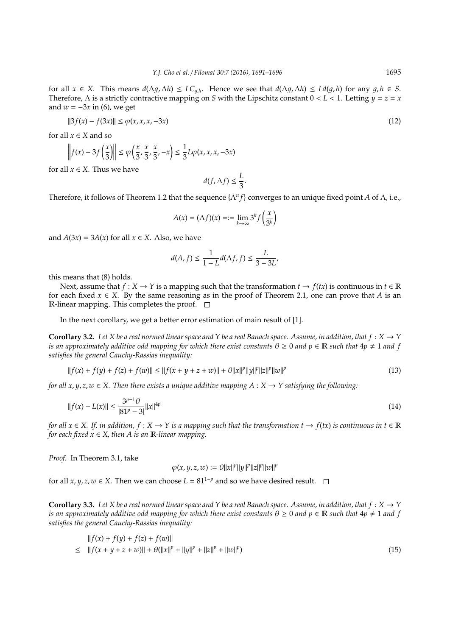for all  $x \in X$ . This means  $d(\Lambda g, \Lambda h) \le LC_{g,h}$ . Hence we see that  $d(\Lambda g, \Lambda h) \le Ld(g,h)$  for any  $g,h \in S$ . Therefore, Λ is a strictly contractive mapping on *S* with the Lipschitz constant 0 < *L* < 1. Letting *y* = *z* = *x* and  $w = -3x$  in (6), we get

$$
||3f(x) - f(3x)|| \le \varphi(x, x, x, -3x) \tag{12}
$$

for all  $x \in X$  and so

$$
\left\| f(x) - 3f\left(\frac{x}{3}\right) \right\| \le \varphi\left(\frac{x}{3}, \frac{x}{3}, \frac{x}{3}, -x\right) \le \frac{1}{3}L\varphi(x, x, x, -3x)
$$

for all  $x \in X$ . Thus we have

$$
d(f,\Lambda f) \leq \frac{L}{3}.
$$

Therefore, it follows of Theorem 1.2 that the sequence {Λ*<sup>n</sup> f*} converges to an unique fixed point *A* of Λ, i.e.,

$$
A(x) = (\Lambda f)(x) = := \lim_{k \to \infty} 3^k f\left(\frac{x}{3^k}\right)
$$

and  $A(3x) = 3A(x)$  for all  $x \in X$ . Also, we have

$$
d(A, f) \le \frac{1}{1 - L} d(\Lambda f, f) \le \frac{L}{3 - 3L'}
$$

this means that (8) holds.

Next, assume that  $f : X \to Y$  is a mapping such that the transformation  $t \to f(tx)$  is continuous in  $t \in \mathbb{R}$ for each fixed  $x \in X$ . By the same reasoning as in the proof of Theorem 2.1, one can prove that *A* is an R-linear mapping. This completes the proof.  $\square$ 

In the next corollary, we get a better error estimation of main result of [1].

**Corollary 3.2.** Let X be a real normed linear space and Y be a real Banach space. Assume, in addition, that  $f: X \to Y$ *is an approximately additive odd mapping for which there exist constants*  $\theta \ge 0$  *and*  $p \in \mathbb{R}$  *such that*  $4p \ne 1$  *and*  $f$ *satisfies the general Cauchy-Rassias inequality:*

$$
||f(x) + f(y) + f(z) + f(w)|| \le ||f(x + y + z + w)|| + \theta ||x||^p ||y||^p ||z||^p ||w||^p \tag{13}
$$

*for all x, y, z, w*  $\in$  *X. Then there exists a unique additive mapping A* : *X*  $\rightarrow$  *Y satisfying the following:* 

$$
||f(x) - L(x)|| \le \frac{3^{p-1}\theta}{|81^p - 3|} ||x||^{4p} \tag{14}
$$

*for all*  $x \in X$ . If, in addition,  $f : X \to Y$  is a mapping such that the transformation  $t \to f(tx)$  is continuous in  $t \in \mathbb{R}$ *for each fixed*  $x \in X$ , *then A is an* **R**-linear mapping.

*Proof.* In Theorem 3.1, take

$$
\varphi(x, y, z, w) := \theta ||x||^p ||y||^p ||z||^p ||w||^p
$$

for all *x*, *y*, *z*, *w* ∈ *X*. Then we can choose *L* = 81<sup>1−*p*</sup> and so we have desired result.  $□$ 

**Corollary 3.3.** Let X be a real normed linear space and Y be a real Banach space. Assume, in addition, that  $f: X \to Y$ *is an approximately additive odd mapping for which there exist constants*  $\theta \ge 0$  *and*  $p \in \mathbb{R}$  *such that*  $4p \ne 1$  *and* f *satisfies the general Cauchy-Rassias inequality:*

$$
||f(x) + f(y) + f(z) + f(w)||
$$
  
\n
$$
\leq ||f(x + y + z + w)|| + \theta(||x||^{p} + ||y||^{p} + ||z||^{p} + ||w||^{p})
$$
\n(15)